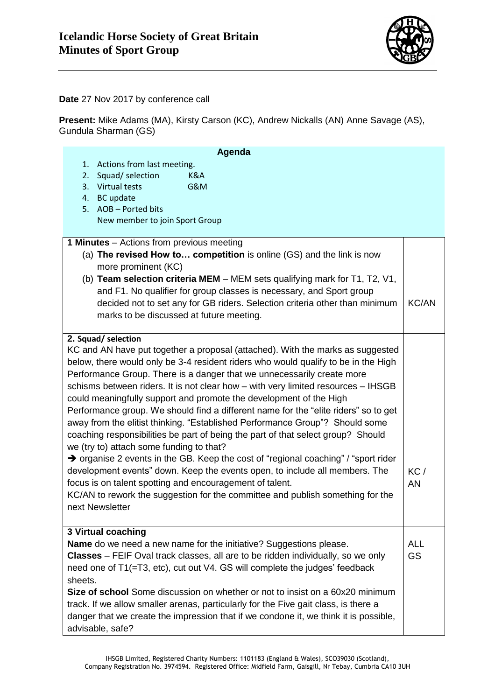

**Date** 27 Nov 2017 by conference call

**Present:** Mike Adams (MA), Kirsty Carson (KC), Andrew Nickalls (AN) Anne Savage (AS), Gundula Sharman (GS)

| Actions from last meeting.<br>1.<br>Squad/ selection<br>2.<br>K&A<br>3. Virtual tests<br>G&M<br>4. BC update<br>5. AOB - Ported bits<br>New member to join Sport Group<br><b>1 Minutes</b> – Actions from previous meeting<br>(a) The revised How to competition is online (GS) and the link is now<br>more prominent (KC)<br>(b) Team selection criteria MEM - MEM sets qualifying mark for T1, T2, V1,<br>and F1. No qualifier for group classes is necessary, and Sport group<br><b>KC/AN</b><br>decided not to set any for GB riders. Selection criteria other than minimum |
|---------------------------------------------------------------------------------------------------------------------------------------------------------------------------------------------------------------------------------------------------------------------------------------------------------------------------------------------------------------------------------------------------------------------------------------------------------------------------------------------------------------------------------------------------------------------------------|
|                                                                                                                                                                                                                                                                                                                                                                                                                                                                                                                                                                                 |
|                                                                                                                                                                                                                                                                                                                                                                                                                                                                                                                                                                                 |
|                                                                                                                                                                                                                                                                                                                                                                                                                                                                                                                                                                                 |
|                                                                                                                                                                                                                                                                                                                                                                                                                                                                                                                                                                                 |
|                                                                                                                                                                                                                                                                                                                                                                                                                                                                                                                                                                                 |
|                                                                                                                                                                                                                                                                                                                                                                                                                                                                                                                                                                                 |
|                                                                                                                                                                                                                                                                                                                                                                                                                                                                                                                                                                                 |
|                                                                                                                                                                                                                                                                                                                                                                                                                                                                                                                                                                                 |
|                                                                                                                                                                                                                                                                                                                                                                                                                                                                                                                                                                                 |
|                                                                                                                                                                                                                                                                                                                                                                                                                                                                                                                                                                                 |
|                                                                                                                                                                                                                                                                                                                                                                                                                                                                                                                                                                                 |
|                                                                                                                                                                                                                                                                                                                                                                                                                                                                                                                                                                                 |
| marks to be discussed at future meeting.                                                                                                                                                                                                                                                                                                                                                                                                                                                                                                                                        |
|                                                                                                                                                                                                                                                                                                                                                                                                                                                                                                                                                                                 |
| 2. Squad/selection                                                                                                                                                                                                                                                                                                                                                                                                                                                                                                                                                              |
| KC and AN have put together a proposal (attached). With the marks as suggested                                                                                                                                                                                                                                                                                                                                                                                                                                                                                                  |
| below, there would only be 3-4 resident riders who would qualify to be in the High                                                                                                                                                                                                                                                                                                                                                                                                                                                                                              |
| Performance Group. There is a danger that we unnecessarily create more                                                                                                                                                                                                                                                                                                                                                                                                                                                                                                          |
| schisms between riders. It is not clear how - with very limited resources - IHSGB                                                                                                                                                                                                                                                                                                                                                                                                                                                                                               |
| could meaningfully support and promote the development of the High                                                                                                                                                                                                                                                                                                                                                                                                                                                                                                              |
| Performance group. We should find a different name for the "elite riders" so to get                                                                                                                                                                                                                                                                                                                                                                                                                                                                                             |
| away from the elitist thinking. "Established Performance Group"? Should some                                                                                                                                                                                                                                                                                                                                                                                                                                                                                                    |
| coaching responsibilities be part of being the part of that select group? Should                                                                                                                                                                                                                                                                                                                                                                                                                                                                                                |
| we (try to) attach some funding to that?                                                                                                                                                                                                                                                                                                                                                                                                                                                                                                                                        |
| $\rightarrow$ organise 2 events in the GB. Keep the cost of "regional coaching" / "sport rider                                                                                                                                                                                                                                                                                                                                                                                                                                                                                  |
| development events" down. Keep the events open, to include all members. The<br>KC/                                                                                                                                                                                                                                                                                                                                                                                                                                                                                              |
| focus is on talent spotting and encouragement of talent.                                                                                                                                                                                                                                                                                                                                                                                                                                                                                                                        |
| <b>AN</b>                                                                                                                                                                                                                                                                                                                                                                                                                                                                                                                                                                       |
| KC/AN to rework the suggestion for the committee and publish something for the<br>next Newsletter                                                                                                                                                                                                                                                                                                                                                                                                                                                                               |
|                                                                                                                                                                                                                                                                                                                                                                                                                                                                                                                                                                                 |
| <b>3 Virtual coaching</b>                                                                                                                                                                                                                                                                                                                                                                                                                                                                                                                                                       |
| <b>Name</b> do we need a new name for the initiative? Suggestions please.<br><b>ALL</b>                                                                                                                                                                                                                                                                                                                                                                                                                                                                                         |
| <b>GS</b><br><b>Classes</b> – FEIF Oval track classes, all are to be ridden individually, so we only                                                                                                                                                                                                                                                                                                                                                                                                                                                                            |
| need one of T1(=T3, etc), cut out V4. GS will complete the judges' feedback                                                                                                                                                                                                                                                                                                                                                                                                                                                                                                     |
| sheets.                                                                                                                                                                                                                                                                                                                                                                                                                                                                                                                                                                         |
| Size of school Some discussion on whether or not to insist on a 60x20 minimum                                                                                                                                                                                                                                                                                                                                                                                                                                                                                                   |
| track. If we allow smaller arenas, particularly for the Five gait class, is there a                                                                                                                                                                                                                                                                                                                                                                                                                                                                                             |
| danger that we create the impression that if we condone it, we think it is possible,                                                                                                                                                                                                                                                                                                                                                                                                                                                                                            |
| advisable, safe?                                                                                                                                                                                                                                                                                                                                                                                                                                                                                                                                                                |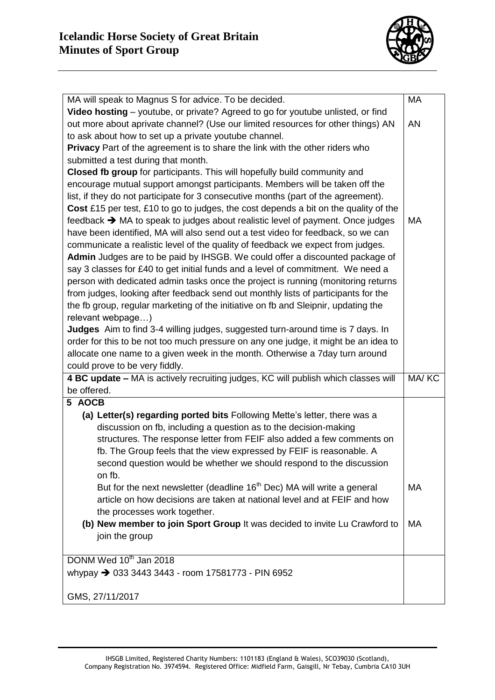

| MA will speak to Magnus S for advice. To be decided.                                 | MA        |
|--------------------------------------------------------------------------------------|-----------|
| Video hosting – youtube, or private? Agreed to go for youtube unlisted, or find      |           |
| out more about aprivate channel? (Use our limited resources for other things) AN     | AN        |
| to ask about how to set up a private youtube channel.                                |           |
| Privacy Part of the agreement is to share the link with the other riders who         |           |
| submitted a test during that month.                                                  |           |
| Closed fb group for participants. This will hopefully build community and            |           |
| encourage mutual support amongst participants. Members will be taken off the         |           |
| list, if they do not participate for 3 consecutive months (part of the agreement).   |           |
| Cost £15 per test, £10 to go to judges, the cost depends a bit on the quality of the |           |
| feedback → MA to speak to judges about realistic level of payment. Once judges       | МA        |
| have been identified, MA will also send out a test video for feedback, so we can     |           |
| communicate a realistic level of the quality of feedback we expect from judges.      |           |
| Admin Judges are to be paid by IHSGB. We could offer a discounted package of         |           |
| say 3 classes for £40 to get initial funds and a level of commitment. We need a      |           |
| person with dedicated admin tasks once the project is running (monitoring returns    |           |
| from judges, looking after feedback send out monthly lists of participants for the   |           |
| the fb group, regular marketing of the initiative on fb and Sleipnir, updating the   |           |
| relevant webpage)                                                                    |           |
| Judges Aim to find 3-4 willing judges, suggested turn-around time is 7 days. In      |           |
| order for this to be not too much pressure on any one judge, it might be an idea to  |           |
| allocate one name to a given week in the month. Otherwise a 7day turn around         |           |
| could prove to be very fiddly.                                                       |           |
| 4 BC update - MA is actively recruiting judges, KC will publish which classes will   | MA/KC     |
| be offered.                                                                          |           |
| 5 AOCB                                                                               |           |
| (a) Letter(s) regarding ported bits Following Mette's letter, there was a            |           |
| discussion on fb, including a question as to the decision-making                     |           |
| structures. The response letter from FEIF also added a few comments on               |           |
| fb. The Group feels that the view expressed by FEIF is reasonable. A                 |           |
| second question would be whether we should respond to the discussion                 |           |
| on fb.                                                                               |           |
| But for the next newsletter (deadline 16 <sup>th</sup> Dec) MA will write a general  | MA        |
| article on how decisions are taken at national level and at FEIF and how             |           |
| the processes work together.                                                         |           |
| (b) New member to join Sport Group It was decided to invite Lu Crawford to           | <b>MA</b> |
| join the group                                                                       |           |
|                                                                                      |           |
| DONM Wed 10 <sup>th</sup> Jan 2018                                                   |           |
| whypay $\rightarrow$ 033 3443 3443 - room 17581773 - PIN 6952                        |           |
|                                                                                      |           |
| GMS, 27/11/2017                                                                      |           |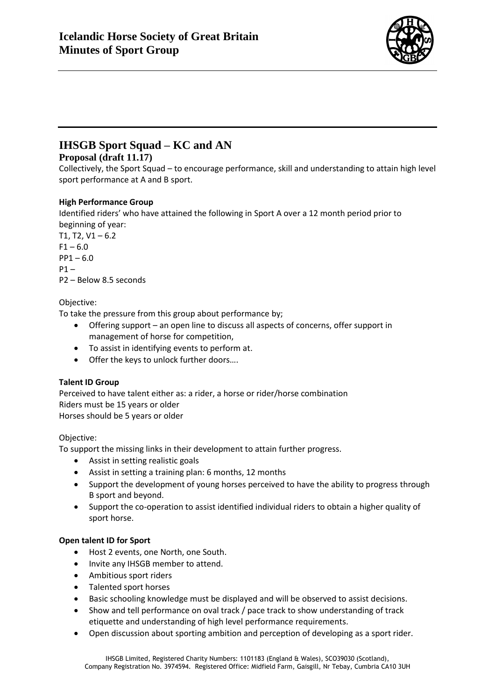

# **IHSGB Sport Squad – KC and AN**

## **Proposal (draft 11.17)**

Collectively, the Sport Squad – to encourage performance, skill and understanding to attain high level sport performance at A and B sport.

## **High Performance Group**

Identified riders' who have attained the following in Sport A over a 12 month period prior to beginning of year:

 $T1, T2, V1 - 6.2$  $F1 - 6.0$  $PP1 - 6.0$  $P1 -$ P2 – Below 8.5 seconds

## Objective:

To take the pressure from this group about performance by;

- Offering support an open line to discuss all aspects of concerns, offer support in management of horse for competition,
- To assist in identifying events to perform at.
- Offer the keys to unlock further doors….

# **Talent ID Group**

Perceived to have talent either as: a rider, a horse or rider/horse combination Riders must be 15 years or older Horses should be 5 years or older

## Objective:

To support the missing links in their development to attain further progress.

- Assist in setting realistic goals
- Assist in setting a training plan: 6 months, 12 months
- Support the development of young horses perceived to have the ability to progress through B sport and beyond.
- Support the co-operation to assist identified individual riders to obtain a higher quality of sport horse.

## **Open talent ID for Sport**

- Host 2 events, one North, one South.
- Invite any IHSGB member to attend.
- Ambitious sport riders
- Talented sport horses
- Basic schooling knowledge must be displayed and will be observed to assist decisions.
- Show and tell performance on oval track / pace track to show understanding of track etiquette and understanding of high level performance requirements.
- Open discussion about sporting ambition and perception of developing as a sport rider.